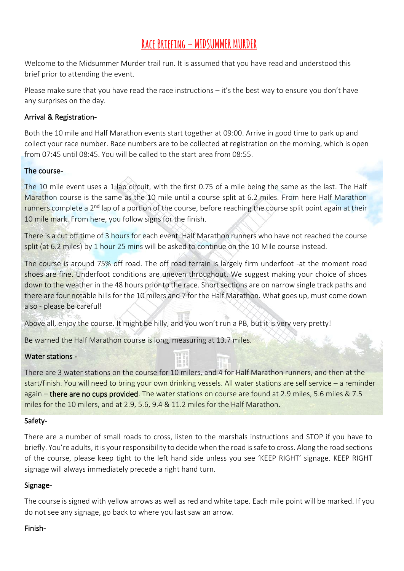# **Race Briefing – MIDSUMMER MURDER**

Welcome to the Midsummer Murder trail run. It is assumed that you have read and understood this brief prior to attending the event.

Please make sure that you have read the race instructions – it's the best way to ensure you don't have any surprises on the day.

#### Arrival & Registration-

Both the 10 mile and Half Marathon events start together at 09:00. Arrive in good time to park up and collect your race number. Race numbers are to be collected at registration on the morning, which is open from 07:45 until 08:45. You will be called to the start area from 08:55.

#### The course-

The 10 mile event uses a 1 lap circuit, with the first 0.75 of a mile being the same as the last. The Half Marathon course is the same as the 10 mile until a course split at 6.2 miles. From here Half Marathon runners complete a 2<sup>nd</sup> lap of a portion of the course, before reaching the course split point again at their 10 mile mark. From here, you follow signs for the finish.

There is a cut off time of 3 hours for each event. Half Marathon runners who have not reached the course split (at 6.2 miles) by 1 hour 25 mins will be asked to continue on the 10 Mile course instead.

The course is around 75% off road. The off road terrain is largely firm underfoot -at the moment road shoes are fine. Underfoot conditions are uneven throughout. We suggest making your choice of shoes down to the weather in the 48 hours prior to the race. Short sections are on narrow single track paths and there are four notable hills for the 10 milers and 7 for the Half Marathon. What goes up, must come down also - please be careful!

Above all, enjoy the course. It might be hilly, and you won't run a PB, but it is very very pretty!

Be warned the Half Marathon course is long, measuring at 13.7 miles.

### Water stations -

There are 3 water stations on the course for 10 milers, and 4 for Half Marathon runners, and then at the start/finish. You will need to bring your own drinking vessels. All water stations are self service – a reminder again – there are no cups provided. The water stations on course are found at 2.9 miles, 5.6 miles & 7.5 miles for the 10 milers, and at 2.9, 5.6, 9.4 & 11.2 miles for the Half Marathon.

#### Safety-

There are a number of small roads to cross, listen to the marshals instructions and STOP if you have to briefly. You're adults, it is your responsibility to decide when the road is safe to cross. Along the road sections of the course, please keep tight to the left hand side unless you see 'KEEP RIGHT' signage. KEEP RIGHT signage will always immediately precede a right hand turn.

#### Signage-

The course is signed with yellow arrows as well as red and white tape. Each mile point will be marked. If you do not see any signage, go back to where you last saw an arrow.

#### Finish-